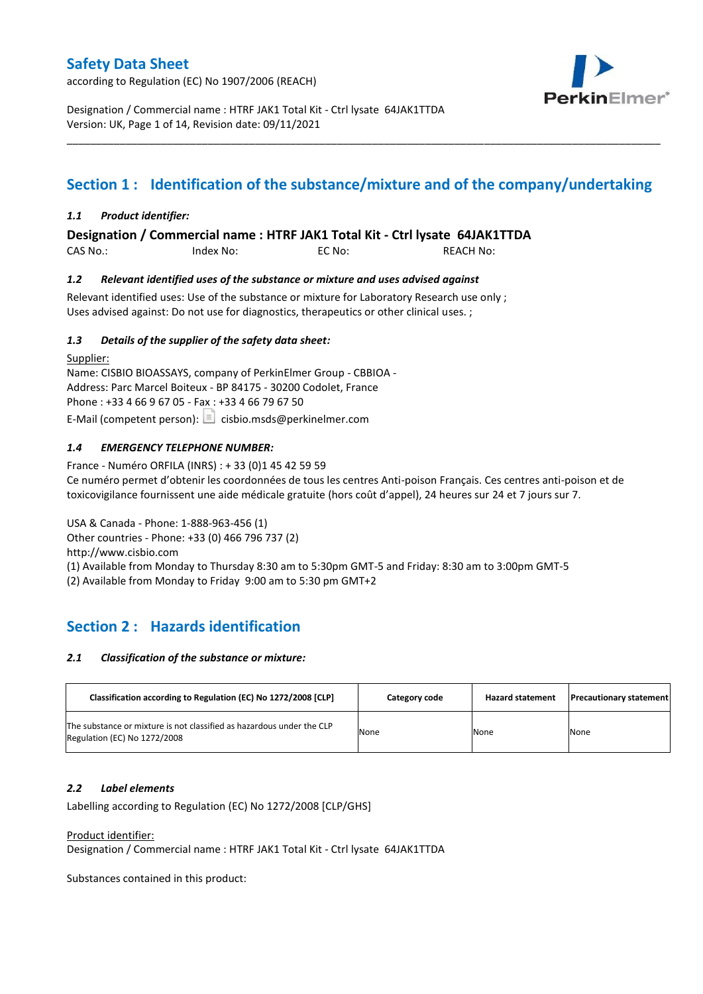according to Regulation (EC) No 1907/2006 (REACH)



Designation / Commercial name : HTRF JAK1 Total Kit - Ctrl lysate 64JAK1TTDA Version: UK, Page 1 of 14, Revision date: 09/11/2021

# **Section 1 : Identification of the substance/mixture and of the company/undertaking**

\_\_\_\_\_\_\_\_\_\_\_\_\_\_\_\_\_\_\_\_\_\_\_\_\_\_\_\_\_\_\_\_\_\_\_\_\_\_\_\_\_\_\_\_\_\_\_\_\_\_\_\_\_\_\_\_\_\_\_\_\_\_\_\_\_\_\_\_\_\_\_\_\_\_\_\_\_\_\_\_\_\_\_\_\_\_\_\_\_\_\_\_\_\_\_\_\_\_\_\_\_

### *1.1 Product identifier:*

**Designation / Commercial name : HTRF JAK1 Total Kit - Ctrl lysate 64JAK1TTDA** 

CAS No.: Index No: EC No: REACH No:

### *1.2 Relevant identified uses of the substance or mixture and uses advised against*

Relevant identified uses: Use of the substance or mixture for Laboratory Research use only ; Uses advised against: Do not use for diagnostics, therapeutics or other clinical uses. ;

### *1.3 Details of the supplier of the safety data sheet:*

Supplier: Name: CISBIO BIOASSAYS, company of PerkinElmer Group - CBBIOA - Address: Parc Marcel Boiteux - BP 84175 - 30200 Codolet, France Phone : +33 4 66 9 67 05 - Fax : +33 4 66 79 67 50 E-Mail (competent person):  $\boxed{\equiv}$  cisbio.msds@perkinelmer.com

## *1.4 EMERGENCY TELEPHONE NUMBER:*

France - Numéro ORFILA (INRS) : + 33 (0)1 45 42 59 59 Ce numéro permet d'obtenir les coordonnées de tous les centres Anti-poison Français. Ces centres anti-poison et de toxicovigilance fournissent une aide médicale gratuite (hors coût d'appel), 24 heures sur 24 et 7 jours sur 7.

USA & Canada - Phone: 1-888-963-456 (1) Other countries - Phone: +33 (0) 466 796 737 (2)

http://www.cisbio.com

(1) Available from Monday to Thursday 8:30 am to 5:30pm GMT-5 and Friday: 8:30 am to 3:00pm GMT-5

(2) Available from Monday to Friday 9:00 am to 5:30 pm GMT+2

# **Section 2 : Hazards identification**

### *2.1 Classification of the substance or mixture:*

| Classification according to Regulation (EC) No 1272/2008 [CLP]                                        | Category code | <b>Hazard statement</b> | <b>Precautionary statement</b> |
|-------------------------------------------------------------------------------------------------------|---------------|-------------------------|--------------------------------|
| The substance or mixture is not classified as hazardous under the CLP<br>Regulation (EC) No 1272/2008 | None          | None                    | None                           |

### *2.2 Label elements*

Labelling according to Regulation (EC) No 1272/2008 [CLP/GHS]

Product identifier:

Designation / Commercial name : HTRF JAK1 Total Kit - Ctrl lysate 64JAK1TTDA

Substances contained in this product: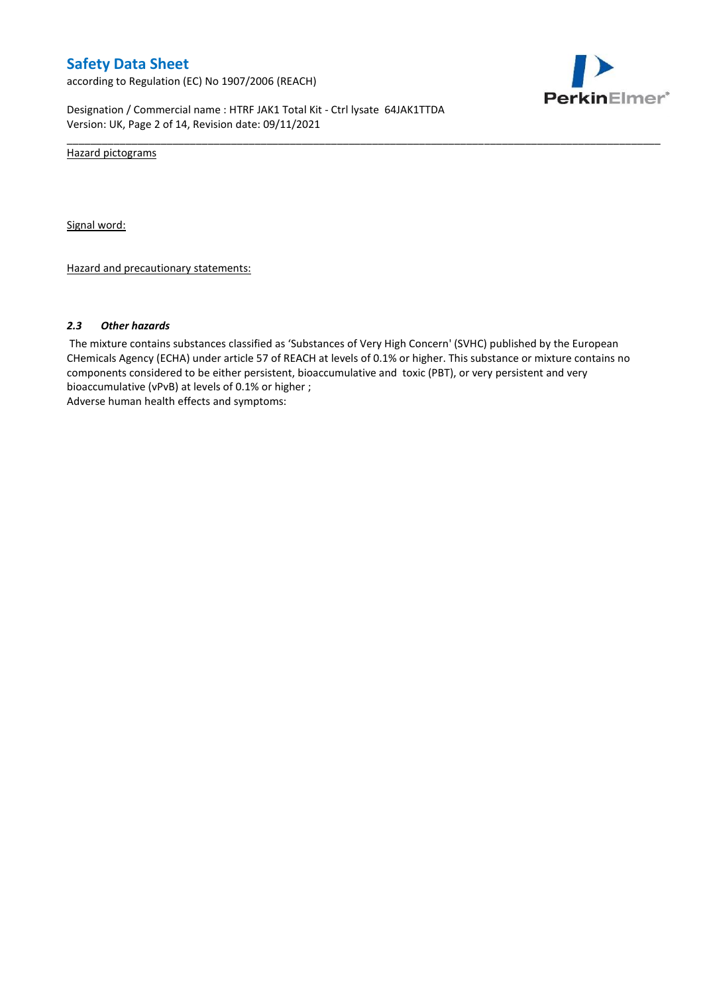according to Regulation (EC) No 1907/2006 (REACH)



Designation / Commercial name : HTRF JAK1 Total Kit - Ctrl lysate 64JAK1TTDA Version: UK, Page 2 of 14, Revision date: 09/11/2021

Hazard pictograms

Signal word:

Hazard and precautionary statements:

### *2.3 Other hazards*

The mixture contains substances classified as 'Substances of Very High Concern' (SVHC) published by the European CHemicals Agency (ECHA) under article 57 of REACH at levels of 0.1% or higher. This substance or mixture contains no components considered to be either persistent, bioaccumulative and toxic (PBT), or very persistent and very bioaccumulative (vPvB) at levels of 0.1% or higher ; Adverse human health effects and symptoms:

\_\_\_\_\_\_\_\_\_\_\_\_\_\_\_\_\_\_\_\_\_\_\_\_\_\_\_\_\_\_\_\_\_\_\_\_\_\_\_\_\_\_\_\_\_\_\_\_\_\_\_\_\_\_\_\_\_\_\_\_\_\_\_\_\_\_\_\_\_\_\_\_\_\_\_\_\_\_\_\_\_\_\_\_\_\_\_\_\_\_\_\_\_\_\_\_\_\_\_\_\_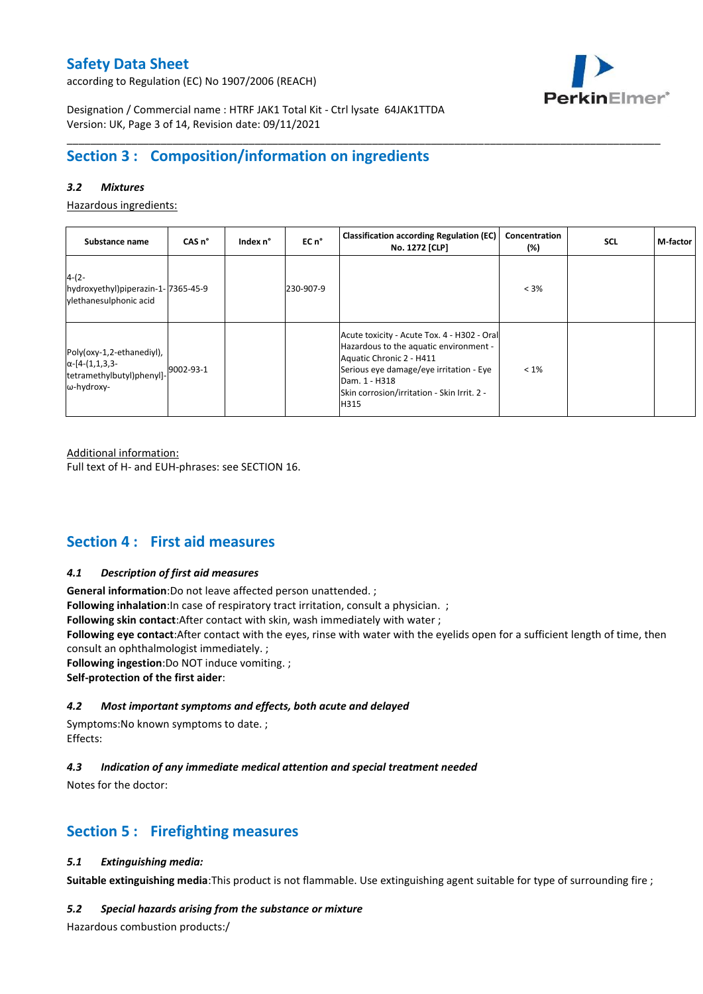according to Regulation (EC) No 1907/2006 (REACH)



Designation / Commercial name : HTRF JAK1 Total Kit - Ctrl lysate 64JAK1TTDA Version: UK, Page 3 of 14, Revision date: 09/11/2021

# **Section 3 : Composition/information on ingredients**

## *3.2 Mixtures*

Hazardous ingredients:

| Substance name                                                                                 | CAS <sub>n</sub> ° | Index n° | EC n°     | <b>Classification according Regulation (EC)</b><br>No. 1272 [CLP]                                                                                                                                                                    | Concentration<br>(%) | <b>SCL</b> | M-factor |
|------------------------------------------------------------------------------------------------|--------------------|----------|-----------|--------------------------------------------------------------------------------------------------------------------------------------------------------------------------------------------------------------------------------------|----------------------|------------|----------|
| $4-(2-$<br>hydroxyethyl)piperazin-1-7365-45-9<br>vlethanesulphonic acid                        |                    |          | 230-907-9 |                                                                                                                                                                                                                                      | $< 3\%$              |            |          |
| Poly(oxy-1,2-ethanediyl),<br>$\alpha$ -[4-(1,1,3,3-<br>tetramethylbutyl)phenyl]-<br>ω-hydroxy- | 9002-93-1          |          |           | Acute toxicity - Acute Tox. 4 - H302 - Oral<br>Hazardous to the aquatic environment -<br>Aquatic Chronic 2 - H411<br>Serious eye damage/eye irritation - Eye<br>Dam. 1 - H318<br>Skin corrosion/irritation - Skin Irrit. 2 -<br>H315 | $< 1\%$              |            |          |

\_\_\_\_\_\_\_\_\_\_\_\_\_\_\_\_\_\_\_\_\_\_\_\_\_\_\_\_\_\_\_\_\_\_\_\_\_\_\_\_\_\_\_\_\_\_\_\_\_\_\_\_\_\_\_\_\_\_\_\_\_\_\_\_\_\_\_\_\_\_\_\_\_\_\_\_\_\_\_\_\_\_\_\_\_\_\_\_\_\_\_\_\_\_\_\_\_\_\_\_\_

Additional information:

Full text of H- and EUH-phrases: see SECTION 16.

## **Section 4 : First aid measures**

### *4.1 Description of first aid measures*

**General information**:Do not leave affected person unattended. ;

**Following inhalation**: In case of respiratory tract irritation, consult a physician. ;

**Following skin contact**:After contact with skin, wash immediately with water ;

**Following eye contact**:After contact with the eyes, rinse with water with the eyelids open for a sufficient length of time, then consult an ophthalmologist immediately. ;

**Following ingestion**:Do NOT induce vomiting. ;

**Self-protection of the first aider**:

### *4.2 Most important symptoms and effects, both acute and delayed*

Symptoms:No known symptoms to date. ; Effects:

## *4.3 Indication of any immediate medical attention and special treatment needed*

Notes for the doctor:

# **Section 5 : Firefighting measures**

### *5.1 Extinguishing media:*

**Suitable extinguishing media**:This product is not flammable. Use extinguishing agent suitable for type of surrounding fire ;

### *5.2 Special hazards arising from the substance or mixture*

Hazardous combustion products:/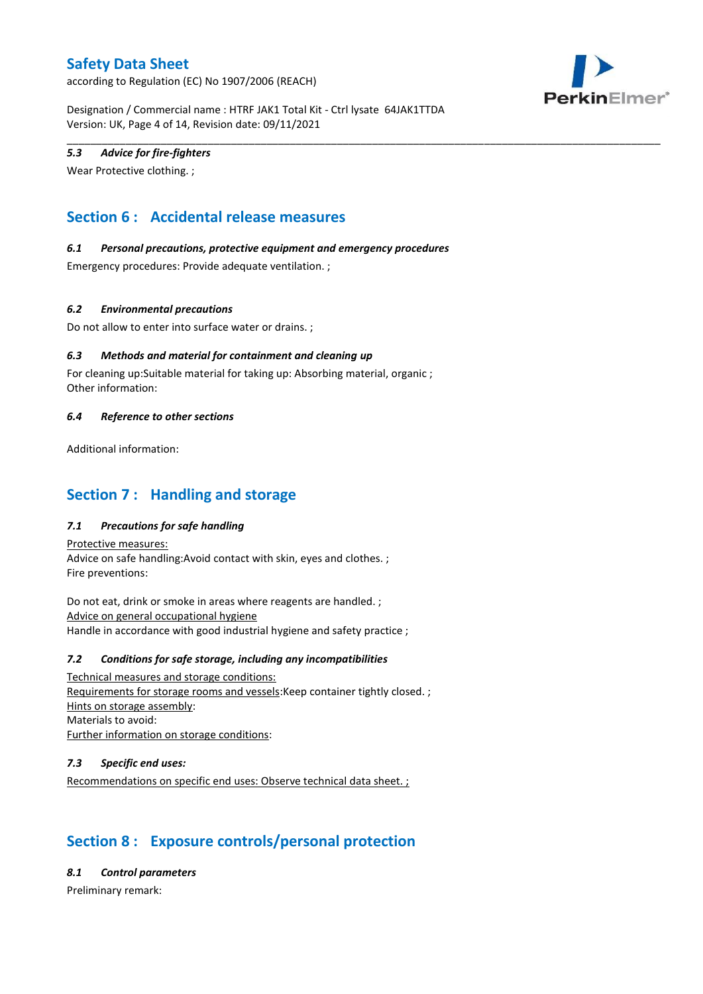according to Regulation (EC) No 1907/2006 (REACH)



Designation / Commercial name : HTRF JAK1 Total Kit - Ctrl lysate 64JAK1TTDA Version: UK, Page 4 of 14, Revision date: 09/11/2021

\_\_\_\_\_\_\_\_\_\_\_\_\_\_\_\_\_\_\_\_\_\_\_\_\_\_\_\_\_\_\_\_\_\_\_\_\_\_\_\_\_\_\_\_\_\_\_\_\_\_\_\_\_\_\_\_\_\_\_\_\_\_\_\_\_\_\_\_\_\_\_\_\_\_\_\_\_\_\_\_\_\_\_\_\_\_\_\_\_\_\_\_\_\_\_\_\_\_\_\_\_

## *5.3 Advice for fire-fighters*

Wear Protective clothing. ;

# **Section 6 : Accidental release measures**

### *6.1 Personal precautions, protective equipment and emergency procedures*

Emergency procedures: Provide adequate ventilation. ;

### *6.2 Environmental precautions*

Do not allow to enter into surface water or drains. ;

## *6.3 Methods and material for containment and cleaning up*

For cleaning up:Suitable material for taking up: Absorbing material, organic ; Other information:

### *6.4 Reference to other sections*

Additional information:

# **Section 7 : Handling and storage**

## *7.1 Precautions for safe handling*

Protective measures: Advice on safe handling:Avoid contact with skin, eyes and clothes. ; Fire preventions:

Do not eat, drink or smoke in areas where reagents are handled. ; Advice on general occupational hygiene Handle in accordance with good industrial hygiene and safety practice ;

### *7.2 Conditions for safe storage, including any incompatibilities*

Technical measures and storage conditions: Requirements for storage rooms and vessels:Keep container tightly closed. ; Hints on storage assembly: Materials to avoid: Further information on storage conditions:

### *7.3 Specific end uses:*

Recommendations on specific end uses: Observe technical data sheet. ;

# **Section 8 : Exposure controls/personal protection**

*8.1 Control parameters*

Preliminary remark: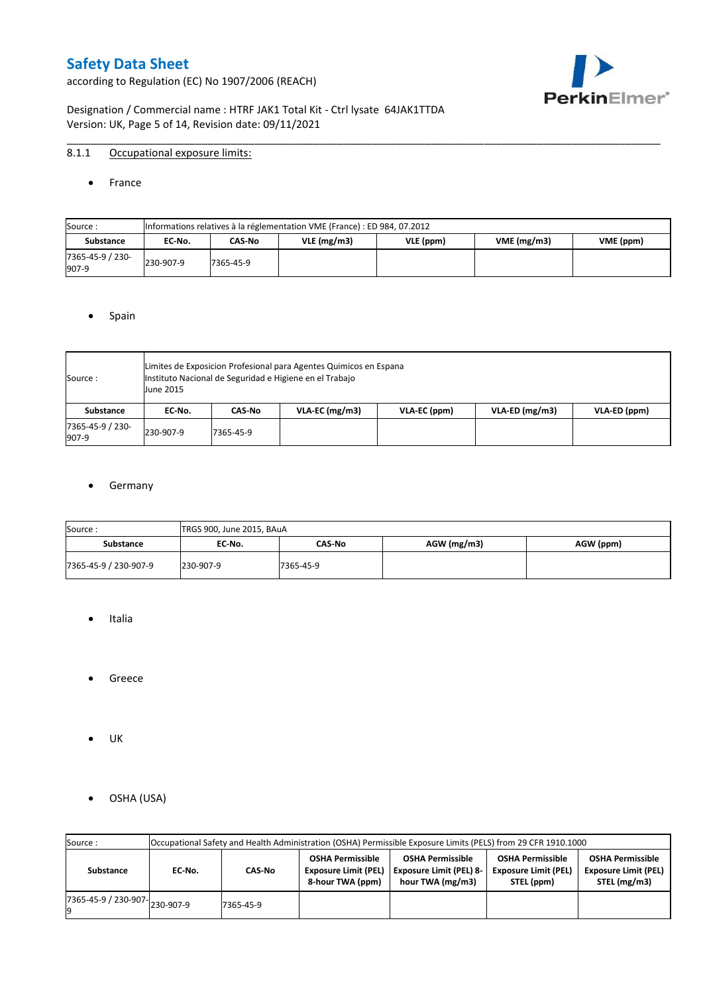according to Regulation (EC) No 1907/2006 (REACH)



Designation / Commercial name : HTRF JAK1 Total Kit - Ctrl lysate 64JAK1TTDA Version: UK, Page 5 of 14, Revision date: 09/11/2021

## 8.1.1 Occupational exposure limits:

#### • France

| Source:                   |           | Informations relatives à la réglementation VME (France) : ED 984, 07.2012 |               |           |            |           |  |  |  |  |  |  |  |
|---------------------------|-----------|---------------------------------------------------------------------------|---------------|-----------|------------|-----------|--|--|--|--|--|--|--|
| <b>Substance</b>          | EC-No.    | CAS-No                                                                    | $VLE$ (mg/m3) | VLE (ppm) | VME(mg/m3) | VME (ppm) |  |  |  |  |  |  |  |
| 7365-45-9 / 230-<br>907-9 | 230-907-9 | 7365-45-9                                                                 |               |           |            |           |  |  |  |  |  |  |  |

\_\_\_\_\_\_\_\_\_\_\_\_\_\_\_\_\_\_\_\_\_\_\_\_\_\_\_\_\_\_\_\_\_\_\_\_\_\_\_\_\_\_\_\_\_\_\_\_\_\_\_\_\_\_\_\_\_\_\_\_\_\_\_\_\_\_\_\_\_\_\_\_\_\_\_\_\_\_\_\_\_\_\_\_\_\_\_\_\_\_\_\_\_\_\_\_\_\_\_\_\_

#### • Spain

| Source:                   | <b>June 2015</b> | Limites de Exposicion Profesional para Agentes Quimicos en Espana<br>Instituto Nacional de Seguridad e Higiene en el Trabajo |                  |              |                  |              |  |  |  |  |  |  |  |
|---------------------------|------------------|------------------------------------------------------------------------------------------------------------------------------|------------------|--------------|------------------|--------------|--|--|--|--|--|--|--|
| Substance                 | EC No.           | CAS No                                                                                                                       | $VLA-EC$ (mg/m3) | VLA-EC (ppm) | $VLA-ED$ (mg/m3) | VLA-ED (ppm) |  |  |  |  |  |  |  |
| 7365-45-9 / 230-<br>907-9 | 230-907-9        | 7365-45-9                                                                                                                    |                  |              |                  |              |  |  |  |  |  |  |  |

### **•** Germany

| Source:               | TRGS 900, June 2015, BAuA |               |               |           |
|-----------------------|---------------------------|---------------|---------------|-----------|
| <b>Substance</b>      | EC No.                    | <b>CAS No</b> | $AGW$ (mg/m3) | AGW (ppm) |
| 7365-45-9 / 230-907-9 | 230-907-9                 | 7365-45-9     |               |           |

- Italia
- Greece
- UK
- OSHA (USA)

| Source:              |           |           |                                                                            | Occupational Safety and Health Administration (OSHA) Permissible Exposure Limits (PELS) from 29 CFR 1910.1000 |                                                                                                                                                |  |  |
|----------------------|-----------|-----------|----------------------------------------------------------------------------|---------------------------------------------------------------------------------------------------------------|------------------------------------------------------------------------------------------------------------------------------------------------|--|--|
| Substance            | EC-No.    | CAS-No    | <b>OSHA Permissible</b><br><b>Exposure Limit (PEL)</b><br>8-hour TWA (ppm) | <b>OSHA Permissible</b><br><b>Exposure Limit (PEL) 8-</b><br>hour TWA (mg/m3)                                 | <b>OSHA Permissible</b><br><b>OSHA Permissible</b><br><b>Exposure Limit (PEL)</b><br><b>Exposure Limit (PEL)</b><br>STEL (mg/m3)<br>STEL (ppm) |  |  |
| 7365-45-9 / 230-907- | 230-907-9 | 7365-45-9 |                                                                            |                                                                                                               |                                                                                                                                                |  |  |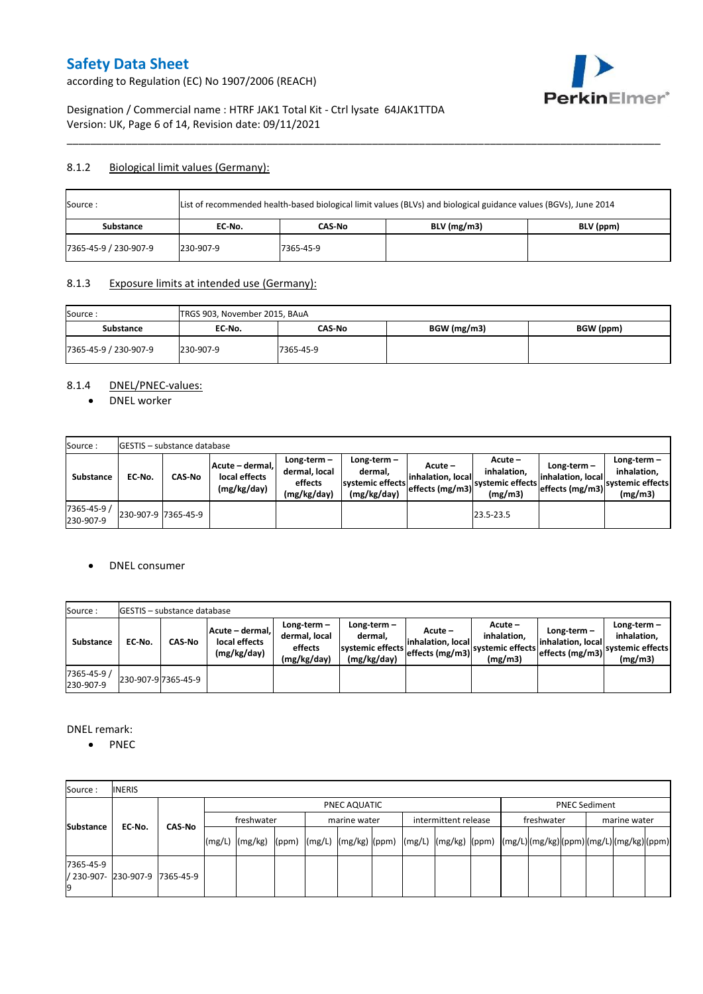according to Regulation (EC) No 1907/2006 (REACH)



## Designation / Commercial name : HTRF JAK1 Total Kit - Ctrl lysate 64JAK1TTDA Version: UK, Page 6 of 14, Revision date: 09/11/2021

## 8.1.2 Biological limit values (Germany):

| Source:               | List of recommended health-based biological limit values (BLVs) and biological guidance values (BGVs), June 2014 |           |               |           |  |  |  |  |  |  |
|-----------------------|------------------------------------------------------------------------------------------------------------------|-----------|---------------|-----------|--|--|--|--|--|--|
| Substance             | EC No.                                                                                                           | CAS-No    | $BLV$ (mg/m3) | BLV (ppm) |  |  |  |  |  |  |
| 7365-45-9 / 230-907-9 | 230-907-9                                                                                                        | 7365-45-9 |               |           |  |  |  |  |  |  |

\_\_\_\_\_\_\_\_\_\_\_\_\_\_\_\_\_\_\_\_\_\_\_\_\_\_\_\_\_\_\_\_\_\_\_\_\_\_\_\_\_\_\_\_\_\_\_\_\_\_\_\_\_\_\_\_\_\_\_\_\_\_\_\_\_\_\_\_\_\_\_\_\_\_\_\_\_\_\_\_\_\_\_\_\_\_\_\_\_\_\_\_\_\_\_\_\_\_\_\_\_

### 8.1.3 Exposure limits at intended use (Germany):

| Source:<br>TRGS 903, November 2015, BAuA<br>BGW (mg/m3)<br>BGW (ppm)<br>Substance<br>CAS-No<br>EC No. |           |           |  |  |  |  |
|-------------------------------------------------------------------------------------------------------|-----------|-----------|--|--|--|--|
|                                                                                                       |           |           |  |  |  |  |
| 7365-45-9 / 230-907-9                                                                                 | 230-907-9 | 7365-45-9 |  |  |  |  |

## 8.1.4 DNEL/PNEC-values:

• DNEL worker

| Source:                  |                     | <b>GESTIS</b> - substance database |                                                 |                                                       |                                                             |                                                    |                                                       |                                                         |                                                             |
|--------------------------|---------------------|------------------------------------|-------------------------------------------------|-------------------------------------------------------|-------------------------------------------------------------|----------------------------------------------------|-------------------------------------------------------|---------------------------------------------------------|-------------------------------------------------------------|
| Substance                | EC No.              | <b>CAS-No</b>                      | Acute – dermal.<br>local effects<br>(mg/kg/day) | Long-term-<br>dermal, local<br>effects<br>(mg/kg/day) | $Long-term -$<br>dermal.<br>systemic effects<br>(mg/kg/day) | Acute –<br>linhalation. local<br>effects $(mg/m3)$ | Acute -<br>inhalation.<br>systemic effects<br>(mg/m3) | Long-term –<br>linhalation. locall<br>effects $(mg/m3)$ | $Long-term -$<br>inhalation.<br>systemic effects<br>(mg/m3) |
| 7365-45-9 /<br>230-907-9 | 230-907-9 7365-45-9 |                                    |                                                 |                                                       |                                                             |                                                    | 23.5-23.5                                             |                                                         |                                                             |

### DNEL consumer

| Source:                  |        | <b>IGESTIS – substance database</b> |                                                 |                                                          |                                                          |                                                  |                                                       |                                                        |                                                             |
|--------------------------|--------|-------------------------------------|-------------------------------------------------|----------------------------------------------------------|----------------------------------------------------------|--------------------------------------------------|-------------------------------------------------------|--------------------------------------------------------|-------------------------------------------------------------|
| Substance                | EC No. | <b>CAS No</b>                       | Acute - dermal.<br>local effects<br>(mg/kg/day) | Long-term $-$<br>dermal, local<br>effects<br>(mg/kg/day) | Long-term-<br>dermal,<br>systemic effects<br>(mg/kg/day) | Acute –<br>linhalation. local<br>effects (mg/m3) | Acute -<br>inhalation.<br>systemic effects<br>(mg/m3) | $Long-term -$<br>linhalation. local<br>effects (mg/m3) | Long-term $-$<br>inhalation.<br>svstemic effects<br>(mg/m3) |
| 7365-45-9 /<br>230-907-9 |        | 230-907-9 7365-45-9                 |                                                 |                                                          |                                                          |                                                  |                                                       |                                                        |                                                             |

DNEL remark:

• PNEC

| Source:          | <b>INERIS</b>                  |               |                                                                                                                    |  |              |  |                      |  |            |                      |              |  |
|------------------|--------------------------------|---------------|--------------------------------------------------------------------------------------------------------------------|--|--------------|--|----------------------|--|------------|----------------------|--------------|--|
|                  |                                |               |                                                                                                                    |  | PNEC AQUATIC |  |                      |  |            | <b>PNEC Sediment</b> |              |  |
| <b>Substance</b> | EC-No.                         | <b>CAS No</b> | freshwater                                                                                                         |  | marine water |  | intermittent release |  | freshwater |                      | marine water |  |
|                  |                                |               | [(mg/L)  (mg/kg)  (ppm)  (mg/L)  (mg/kg)  (ppm)  (mg/L)  (mg/kg)  (ppm)  (mg/L) (mg/kg) (ppm) (mg/L) (mg/kg) (ppm) |  |              |  |                      |  |            |                      |              |  |
| 7365-45-9        | / 230-907- 230-907-9 7365-45-9 |               |                                                                                                                    |  |              |  |                      |  |            |                      |              |  |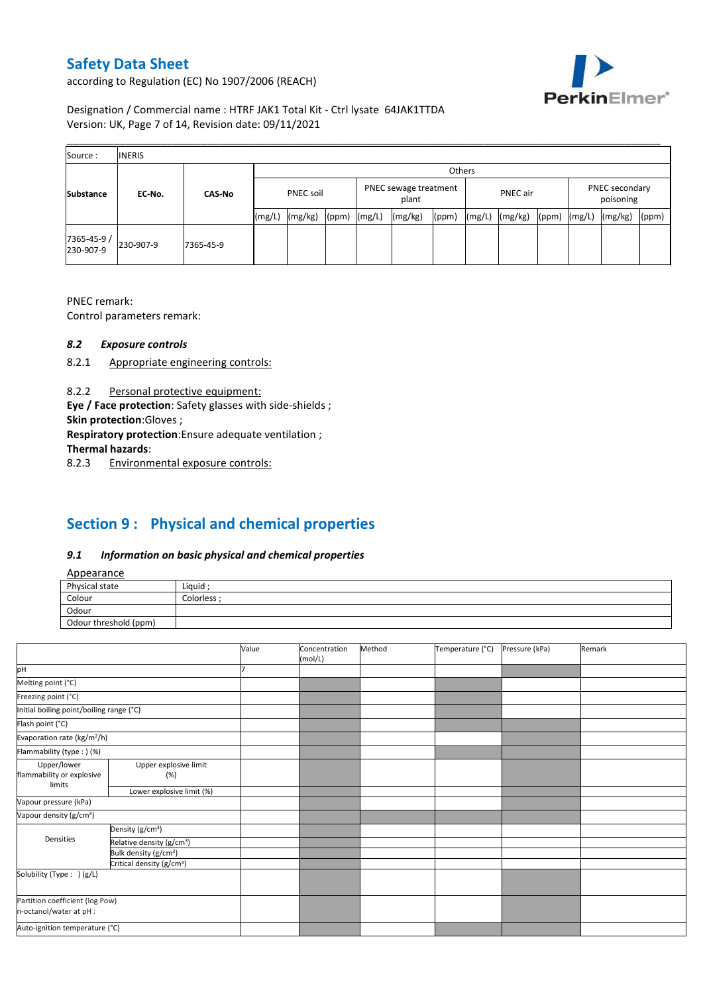according to Regulation (EC) No 1907/2006 (REACH)



## Designation / Commercial name : HTRF JAK1 Total Kit - Ctrl lysate 64JAK1TTDA Version: UK, Page 7 of 14, Revision date: 09/11/2021

| Source:                  | <b>INERIS</b> |               |                  |         |       |                                |         |        |                                                  |         |  |        |         |       |
|--------------------------|---------------|---------------|------------------|---------|-------|--------------------------------|---------|--------|--------------------------------------------------|---------|--|--------|---------|-------|
|                          |               |               |                  |         |       |                                |         | Others |                                                  |         |  |        |         |       |
| <b>Substance</b>         | EC-No.        | <b>CAS-No</b> | <b>PNEC soil</b> |         |       | PNEC sewage treatment<br>plant |         |        | PNEC secondary<br>PNEC air<br>poisoning<br>(ppm) |         |  |        |         |       |
|                          |               |               | (mg/L)           | (mg/kg) | (ppm) | (mg/L)                         | (mg/kg) | (ppm)  | (mg/L)                                           | (mg/kg) |  | (mg/L) | (mg/kg) | (ppm) |
| 7365-45-9 /<br>230-907-9 | 230-907-9     | 7365-45-9     |                  |         |       |                                |         |        |                                                  |         |  |        |         |       |

PNEC remark:

Control parameters remark:

### *8.2 Exposure controls*

- 8.2.1 Appropriate engineering controls:
- 8.2.2 Personal protective equipment:

**Eye / Face protection**: Safety glasses with side-shields ;

**Skin protection**:Gloves ;

**Respiratory protection**:Ensure adequate ventilation ;

**Thermal hazards**:

8.2.3 Environmental exposure controls:

# **Section 9 : Physical and chemical properties**

## *9.1 Information on basic physical and chemical properties*

| Appearance |
|------------|
|------------|

| <b>Appearance</b>                                      |            |
|--------------------------------------------------------|------------|
| Physical state                                         | Liquid     |
| Colour<br>the control of the control of the control of | Colorless: |
| Odour                                                  |            |
| Odour threshold (ppm)                                  |            |

|                                                            |                                       | Value | Concentration<br>(mol/L) | Method | Temperature (°C) | Pressure (kPa) | Remark |
|------------------------------------------------------------|---------------------------------------|-------|--------------------------|--------|------------------|----------------|--------|
| pH                                                         |                                       |       |                          |        |                  |                |        |
| Melting point (°C)                                         |                                       |       |                          |        |                  |                |        |
| Freezing point (°C)                                        |                                       |       |                          |        |                  |                |        |
| Initial boiling point/boiling range (°C)                   |                                       |       |                          |        |                  |                |        |
| Flash point (°C)                                           |                                       |       |                          |        |                  |                |        |
| Evaporation rate (kg/m <sup>2</sup> /h)                    |                                       |       |                          |        |                  |                |        |
| Flammability (type:) (%)                                   |                                       |       |                          |        |                  |                |        |
| Upper/lower<br>flammability or explosive                   | Upper explosive limit<br>(%)          |       |                          |        |                  |                |        |
| limits                                                     | Lower explosive limit (%)             |       |                          |        |                  |                |        |
| Vapour pressure (kPa)                                      |                                       |       |                          |        |                  |                |        |
| Vapour density (g/cm <sup>3</sup> )                        |                                       |       |                          |        |                  |                |        |
|                                                            | Density (g/cm <sup>3</sup> )          |       |                          |        |                  |                |        |
| Densities                                                  | Relative density (g/cm <sup>3</sup> ) |       |                          |        |                  |                |        |
|                                                            | Bulk density (g/cm <sup>3</sup> )     |       |                          |        |                  |                |        |
|                                                            | Critical density (g/cm <sup>3</sup> ) |       |                          |        |                  |                |        |
| Solubility (Type: ) (g/L)                                  |                                       |       |                          |        |                  |                |        |
| Partition coefficient (log Pow)<br>n-octanol/water at pH : |                                       |       |                          |        |                  |                |        |
| Auto-ignition temperature (°C)                             |                                       |       |                          |        |                  |                |        |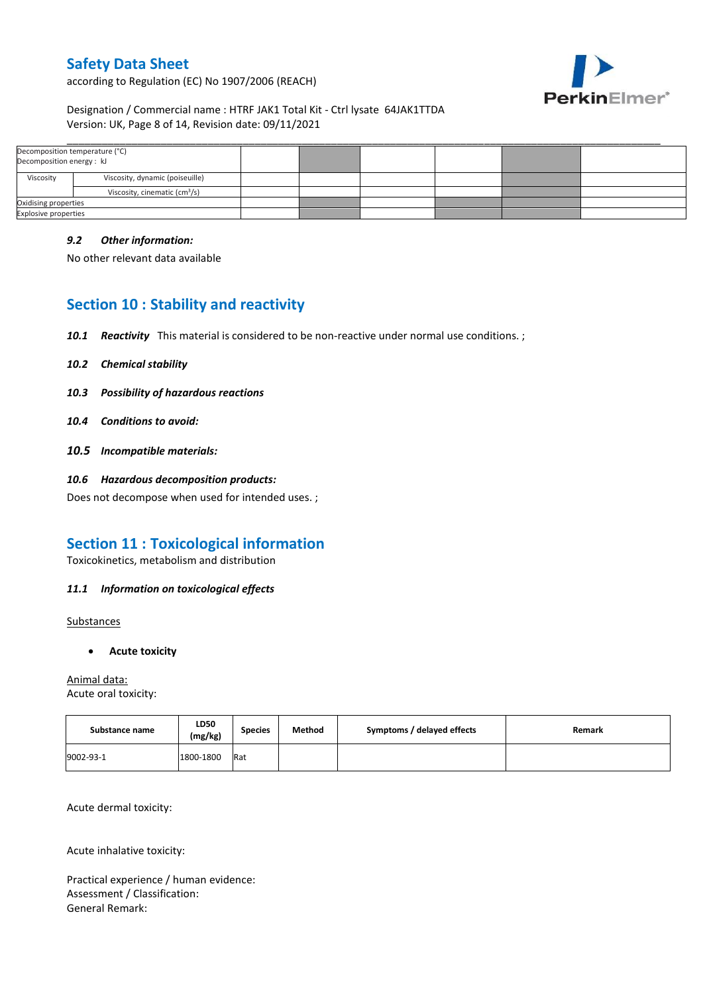according to Regulation (EC) No 1907/2006 (REACH)



## Designation / Commercial name : HTRF JAK1 Total Kit - Ctrl lysate 64JAK1TTDA Version: UK, Page 8 of 14, Revision date: 09/11/2021

| Decomposition temperature (°C)<br>Decomposition energy: kJ |                                           |  |  |  |  |
|------------------------------------------------------------|-------------------------------------------|--|--|--|--|
| Viscosity                                                  | Viscosity, dynamic (poiseuille)           |  |  |  |  |
|                                                            | Viscosity, cinematic (cm <sup>3</sup> /s) |  |  |  |  |
| Oxidising properties                                       |                                           |  |  |  |  |
| <b>Explosive properties</b>                                |                                           |  |  |  |  |

\_\_\_\_\_\_\_\_\_\_\_\_\_\_\_\_\_\_\_\_\_\_\_\_\_\_\_\_\_\_\_\_\_\_\_\_\_\_\_\_\_\_\_\_\_\_\_\_\_\_\_\_\_\_\_\_\_\_\_\_\_\_\_\_\_\_\_\_\_\_\_\_\_\_\_\_\_\_\_\_\_\_\_\_\_\_\_\_\_\_\_\_\_\_\_\_\_\_\_\_\_

### *9.2 Other information:*

No other relevant data available

# **Section 10 : Stability and reactivity**

- *10.1 Reactivity* This material is considered to be non-reactive under normal use conditions. ;
- *10.2 Chemical stability*
- *10.3 Possibility of hazardous reactions*
- *10.4 Conditions to avoid:*
- *10.5 Incompatible materials:*
- *10.6 Hazardous decomposition products:*

Does not decompose when used for intended uses. ;

# **Section 11 : Toxicological information**

Toxicokinetics, metabolism and distribution

## *11.1 Information on toxicological effects*

**Substances** 

**Acute toxicity**

Animal data: Acute oral toxicity:

| Substance name | LD50<br>(mg/kg) | <b>Species</b> | Method | Symptoms / delayed effects | Remark |
|----------------|-----------------|----------------|--------|----------------------------|--------|
| 9002-93-1      | 1800-1800       | Rat            |        |                            |        |

Acute dermal toxicity:

Acute inhalative toxicity:

Practical experience / human evidence: Assessment / Classification: General Remark: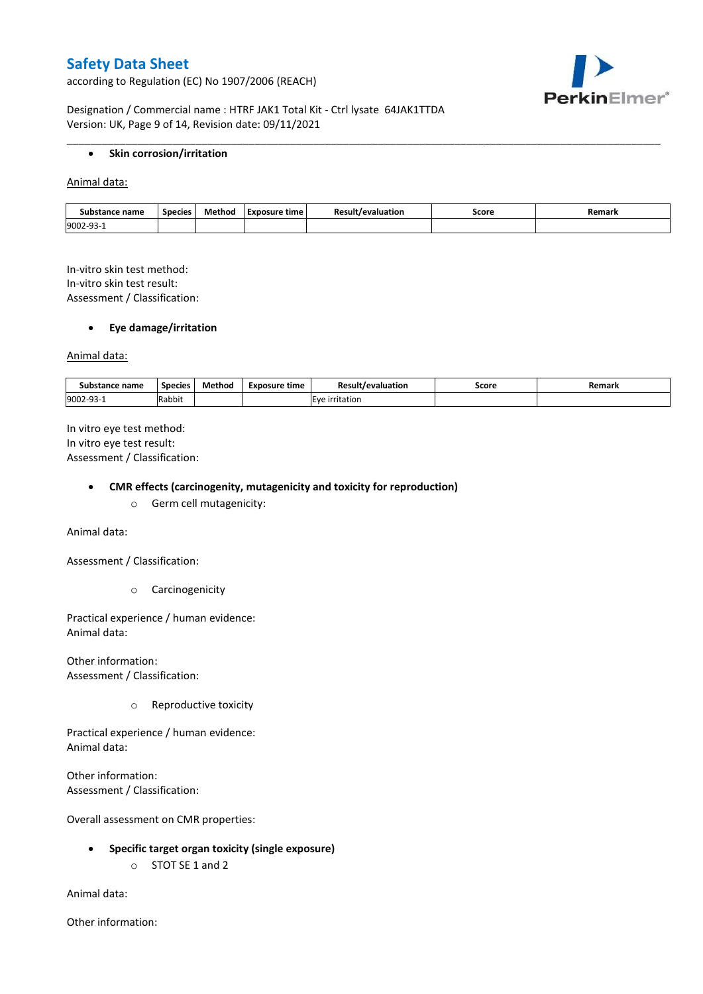according to Regulation (EC) No 1907/2006 (REACH)



Designation / Commercial name : HTRF JAK1 Total Kit - Ctrl lysate 64JAK1TTDA Version: UK, Page 9 of 14, Revision date: 09/11/2021

### **•** Skin corrosion/irritation

Animal data:

| Substance name | <b>Species</b> | Method | Exposure time | evaluation<br>$\sim$ | Score | Remark |
|----------------|----------------|--------|---------------|----------------------|-------|--------|
| 9002-93        |                |        |               |                      |       |        |

\_\_\_\_\_\_\_\_\_\_\_\_\_\_\_\_\_\_\_\_\_\_\_\_\_\_\_\_\_\_\_\_\_\_\_\_\_\_\_\_\_\_\_\_\_\_\_\_\_\_\_\_\_\_\_\_\_\_\_\_\_\_\_\_\_\_\_\_\_\_\_\_\_\_\_\_\_\_\_\_\_\_\_\_\_\_\_\_\_\_\_\_\_\_\_\_\_\_\_\_\_

In-vitro skin test method: In-vitro skin test result: Assessment / Classification:

### **Eye damage/irritation**

Animal data:

| : name<br>substance | <b>Species</b> | $ -$<br>Method | <b>Exposure time</b> | Result/evaluation | Score | Remark |
|---------------------|----------------|----------------|----------------------|-------------------|-------|--------|
| 9002-93-1           | .<br>Rabbit    |                |                      | irritation        |       |        |

In vitro eye test method: In vitro eye test result: Assessment / Classification:

#### **CMR effects (carcinogenity, mutagenicity and toxicity for reproduction)**

o Germ cell mutagenicity:

Animal data:

Assessment / Classification:

o Carcinogenicity

Practical experience / human evidence: Animal data:

Other information: Assessment / Classification:

o Reproductive toxicity

Practical experience / human evidence: Animal data:

Other information: Assessment / Classification:

Overall assessment on CMR properties:

- **Specific target organ toxicity (single exposure)**
	- o STOT SE 1 and 2

Animal data:

Other information: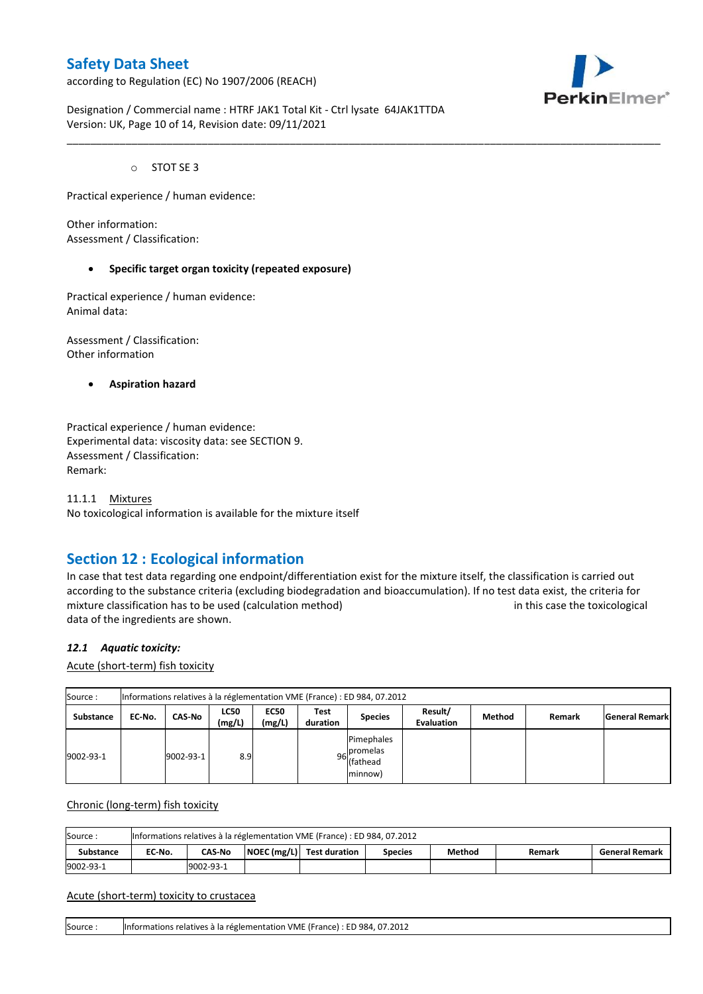according to Regulation (EC) No 1907/2006 (REACH)



Designation / Commercial name : HTRF JAK1 Total Kit - Ctrl lysate 64JAK1TTDA Version: UK, Page 10 of 14, Revision date: 09/11/2021

o STOT SE 3

Practical experience / human evidence:

Other information: Assessment / Classification:

#### **Specific target organ toxicity (repeated exposure)**

Practical experience / human evidence: Animal data:

Assessment / Classification: Other information

**Aspiration hazard**

Practical experience / human evidence: Experimental data: viscosity data: see SECTION 9. Assessment / Classification: Remark:

11.1.1 Mixtures No toxicological information is available for the mixture itself

## **Section 12 : Ecological information**

In case that test data regarding one endpoint/differentiation exist for the mixture itself, the classification is carried out according to the substance criteria (excluding biodegradation and bioaccumulation). If no test data exist, the criteria for mixture classification has to be used (calculation method) in this case the toxicological data of the ingredients are shown.

\_\_\_\_\_\_\_\_\_\_\_\_\_\_\_\_\_\_\_\_\_\_\_\_\_\_\_\_\_\_\_\_\_\_\_\_\_\_\_\_\_\_\_\_\_\_\_\_\_\_\_\_\_\_\_\_\_\_\_\_\_\_\_\_\_\_\_\_\_\_\_\_\_\_\_\_\_\_\_\_\_\_\_\_\_\_\_\_\_\_\_\_\_\_\_\_\_\_\_\_\_

### *12.1 Aquatic toxicity:*

Acute (short-term) fish toxicity

| Source:   | Informations relatives à la réglementation VME (France) : ED 984, 07.2012 |           |                       |                       |                  |                                                  |                              |        |        |                       |  |  |  |
|-----------|---------------------------------------------------------------------------|-----------|-----------------------|-----------------------|------------------|--------------------------------------------------|------------------------------|--------|--------|-----------------------|--|--|--|
| Substance | EC-No.                                                                    | CAS-No    | <b>LC50</b><br>(mg/L) | <b>EC50</b><br>(mg/L) | Test<br>duration | <b>Species</b>                                   | Result/<br><b>Evaluation</b> | Method | Remark | <b>General Remark</b> |  |  |  |
| 9002-93-1 |                                                                           | 9002-93-1 | 8.9                   |                       |                  | Pimephales<br>96 promelas<br>(fathead<br>minnow) |                              |        |        |                       |  |  |  |

Chronic (long-term) fish toxicity

| Source           | Informations relatives à la réglementation VME (France) : ED 984, 07.2012 |                                                                                                             |  |  |  |  |  |  |  |  |  |  |
|------------------|---------------------------------------------------------------------------|-------------------------------------------------------------------------------------------------------------|--|--|--|--|--|--|--|--|--|--|
| <b>Substance</b> | EC No.                                                                    | $\vert$ NOEC (mg/L) $\vert$ Test duration<br><b>CAS-No</b><br>Method<br>General Remark<br>Species<br>Remark |  |  |  |  |  |  |  |  |  |  |
| 9002-93-1        |                                                                           | 9002-93-1                                                                                                   |  |  |  |  |  |  |  |  |  |  |

#### Acute (short-term) toxicity to crustacea

Source : Informations relatives à la réglementation VME (France) : ED 984, 07.2012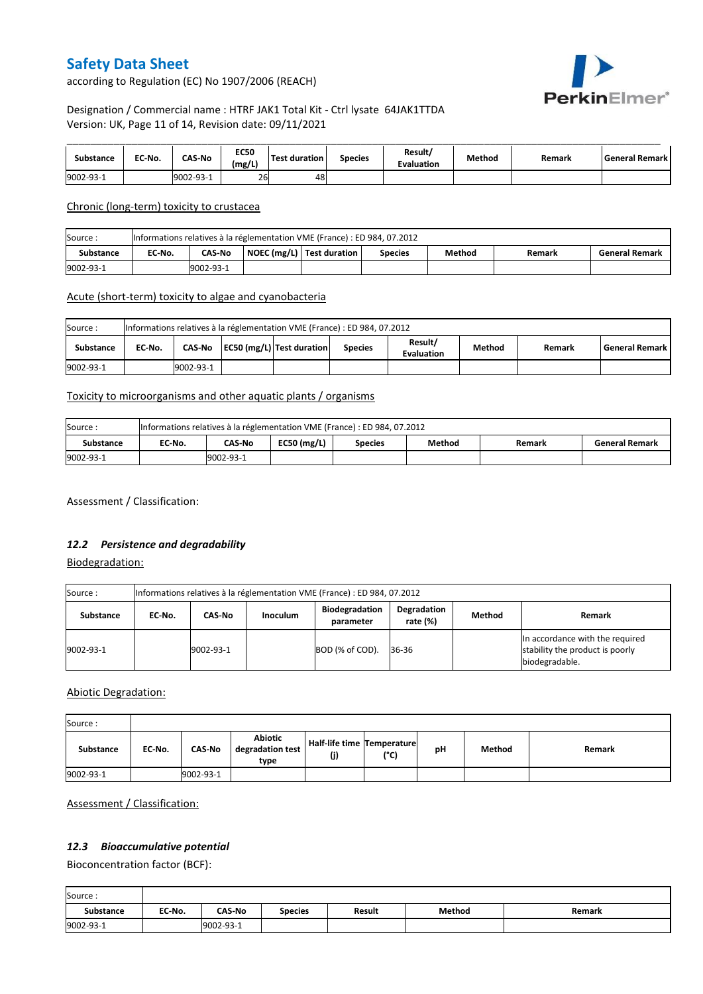

according to Regulation (EC) No 1907/2006 (REACH)

## Designation / Commercial name : HTRF JAK1 Total Kit - Ctrl lysate 64JAK1TTDA Version: UK, Page 11 of 14, Revision date: 09/11/2021

| Substance | EC-No. | <b>CAS-No</b> | <b>EC50</b><br>(mg/L) | <b>Test duration</b> | <b>Species</b> | Result/<br><b>Evaluation</b> | Method | Remark | l General Remark I |
|-----------|--------|---------------|-----------------------|----------------------|----------------|------------------------------|--------|--------|--------------------|
| 9002-93-1 |        | 19002-93-1    | 26                    | 48                   |                |                              |        |        |                    |

Chronic (long-term) toxicity to crustacea

| Source:   | Informations relatives à la réglementation VME (France) : ED 984, 07.2012 |                                                                                                             |  |  |  |  |  |  |  |  |  |
|-----------|---------------------------------------------------------------------------|-------------------------------------------------------------------------------------------------------------|--|--|--|--|--|--|--|--|--|
| Substance | EC-No.                                                                    | NOEC (mg/L)   Test duration<br><b>CAS-No</b><br>Method<br><b>General Remark</b><br><b>Species</b><br>Remark |  |  |  |  |  |  |  |  |  |
| 9002-93-1 |                                                                           | 9002-93-1                                                                                                   |  |  |  |  |  |  |  |  |  |

### Acute (short-term) toxicity to algae and cyanobacteria

| Informations relatives à la réglementation VME (France) : ED 984, 07.2012<br>Source: |        |           |  |                           |                |                              |        |        |                    |  |  |
|--------------------------------------------------------------------------------------|--------|-----------|--|---------------------------|----------------|------------------------------|--------|--------|--------------------|--|--|
| Substance                                                                            | EC No. | CAS-No    |  | EC50 (mg/L) Test duration | <b>Species</b> | Result/<br><b>Evaluation</b> | Method | Remark | l General Remark I |  |  |
| 9002-93-1                                                                            |        | 9002-93-1 |  |                           |                |                              |        |        |                    |  |  |

## Toxicity to microorganisms and other aquatic plants / organisms

| Source:   | Informations relatives à la réglementation VME (France) : ED 984, 07.2012 |           |               |                |        |        |                       |  |  |
|-----------|---------------------------------------------------------------------------|-----------|---------------|----------------|--------|--------|-----------------------|--|--|
| Substance | EC No.                                                                    | CAS-No    | EC50 $(mg/L)$ | <b>Species</b> | Method | Remark | <b>General Remark</b> |  |  |
| 9002-93-1 |                                                                           | 9002-93-1 |               |                |        |        |                       |  |  |

Assessment / Classification:

### *12.2 Persistence and degradability*

Biodegradation:

| Source:   | Informations relatives à la réglementation VME (France) : ED 984, 07.2012 |           |                 |                                    |                            |               |                                                                                      |  |  |
|-----------|---------------------------------------------------------------------------|-----------|-----------------|------------------------------------|----------------------------|---------------|--------------------------------------------------------------------------------------|--|--|
| Substance | EC No.                                                                    | CAS-No    | <b>Inoculum</b> | <b>Biodegradation</b><br>parameter | Degradation<br>rate $(\%)$ | <b>Method</b> | Remark                                                                               |  |  |
| 9002-93-1 |                                                                           | 9002-93-1 |                 | BOD (% of COD).                    | 36-36                      |               | In accordance with the required<br>stability the product is poorly<br>biodegradable. |  |  |

Abiotic Degradation:

| Source:          |        |               |                                     |                                   |      |    |        |        |
|------------------|--------|---------------|-------------------------------------|-----------------------------------|------|----|--------|--------|
| <b>Substance</b> | EC-No. | <b>CAS-No</b> | Abiotic<br>degradation test<br>type | Half-life time Temperature<br>(j) | (°C) | рH | Method | Remark |
| 9002-93-1        |        | 9002-93-1     |                                     |                                   |      |    |        |        |

Assessment / Classification:

## *12.3 Bioaccumulative potential*

Bioconcentration factor (BCF):

| Source:          |        |               |                |        |        |        |
|------------------|--------|---------------|----------------|--------|--------|--------|
| <b>Substance</b> | EC No. | <b>CAS-No</b> | <b>Species</b> | Result | Method | Remark |
| 9002-93-1        |        | 9002-93-1     |                |        |        |        |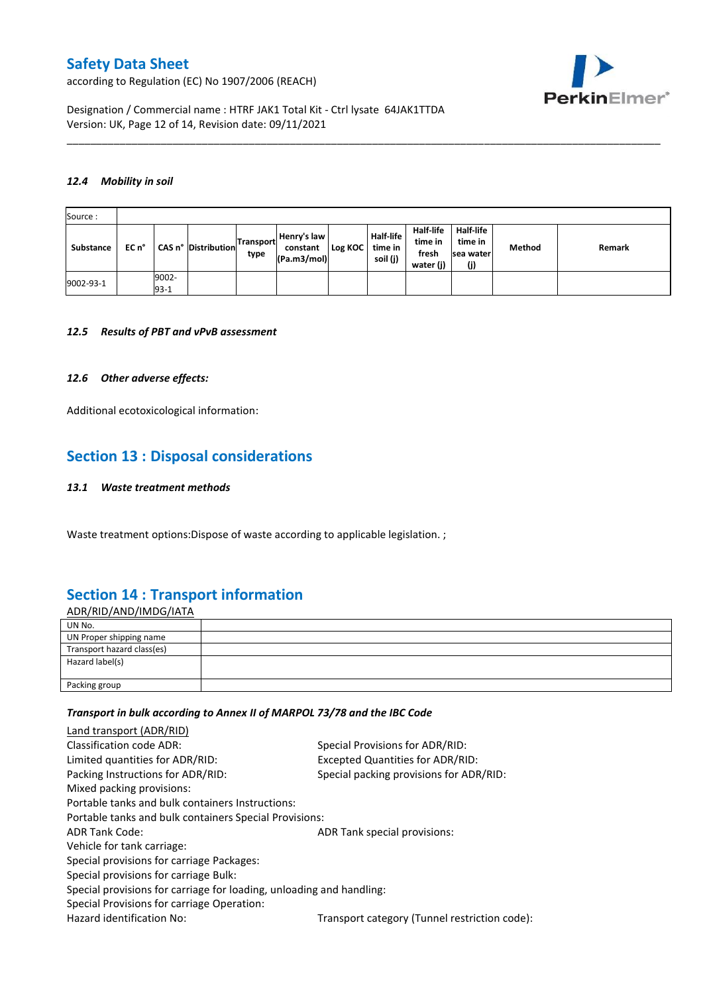according to Regulation (EC) No 1907/2006 (REACH)



Designation / Commercial name : HTRF JAK1 Total Kit - Ctrl lysate 64JAK1TTDA Version: UK, Page 12 of 14, Revision date: 09/11/2021

#### *12.4 Mobility in soil*

| Source:   |       |                 |                     |                          |                                        |           |                                         |                                            |                                                 |        |        |
|-----------|-------|-----------------|---------------------|--------------------------|----------------------------------------|-----------|-----------------------------------------|--------------------------------------------|-------------------------------------------------|--------|--------|
| Substance | EC n° |                 | CAS n° Distribution | <b>Transport</b><br>type | Henry's law<br>constant<br>(Pa.m3/mol) | Log KOC I | <b>Half-life</b><br>time in<br>soil (j) | Half-life<br>time in<br>fresh<br>water (j) | <b>Half-life</b><br>time in<br>sea water<br>(j) | Method | Remark |
| 9002-93-1 |       | 9002-<br>$93-1$ |                     |                          |                                        |           |                                         |                                            |                                                 |        |        |

\_\_\_\_\_\_\_\_\_\_\_\_\_\_\_\_\_\_\_\_\_\_\_\_\_\_\_\_\_\_\_\_\_\_\_\_\_\_\_\_\_\_\_\_\_\_\_\_\_\_\_\_\_\_\_\_\_\_\_\_\_\_\_\_\_\_\_\_\_\_\_\_\_\_\_\_\_\_\_\_\_\_\_\_\_\_\_\_\_\_\_\_\_\_\_\_\_\_\_\_\_

#### *12.5 Results of PBT and vPvB assessment*

### *12.6 Other adverse effects:*

Additional ecotoxicological information:

# **Section 13 : Disposal considerations**

#### *13.1 Waste treatment methods*

Waste treatment options: Dispose of waste according to applicable legislation. ;

# **Section 14 : Transport information**

| <u>ADR/RID/AND/IMDG/IATA</u> |  |
|------------------------------|--|
| UN No.                       |  |
| UN Proper shipping name      |  |
| Transport hazard class(es)   |  |
| Hazard label(s)              |  |
|                              |  |
| Packing group                |  |

### *Transport in bulk according to Annex II of MARPOL 73/78 and the IBC Code*

| Land transport (ADR/RID)                                             |                                               |
|----------------------------------------------------------------------|-----------------------------------------------|
| Classification code ADR:                                             | Special Provisions for ADR/RID:               |
| Limited quantities for ADR/RID:                                      | Excepted Quantities for ADR/RID:              |
| Packing Instructions for ADR/RID:                                    | Special packing provisions for ADR/RID:       |
| Mixed packing provisions:                                            |                                               |
| Portable tanks and bulk containers Instructions:                     |                                               |
| Portable tanks and bulk containers Special Provisions:               |                                               |
| <b>ADR Tank Code:</b>                                                | ADR Tank special provisions:                  |
| Vehicle for tank carriage:                                           |                                               |
| Special provisions for carriage Packages:                            |                                               |
| Special provisions for carriage Bulk:                                |                                               |
| Special provisions for carriage for loading, unloading and handling: |                                               |
| Special Provisions for carriage Operation:                           |                                               |
| Hazard identification No:                                            | Transport category (Tunnel restriction code): |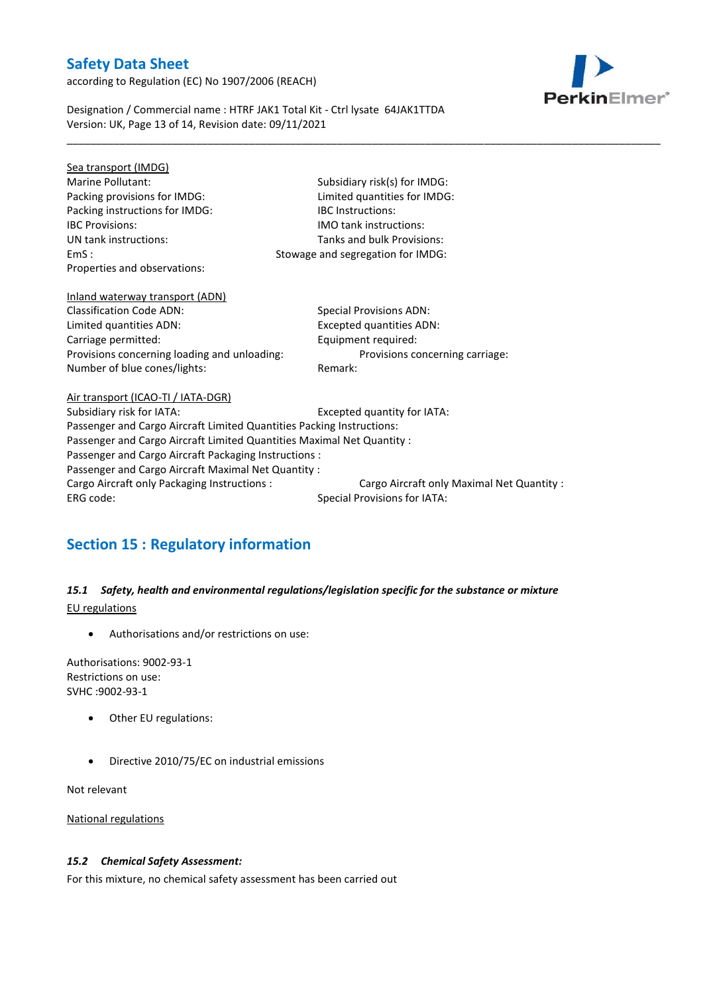according to Regulation (EC) No 1907/2006 (REACH)



Designation / Commercial name : HTRF JAK1 Total Kit - Ctrl lysate 64JAK1TTDA Version: UK, Page 13 of 14, Revision date: 09/11/2021

| Sea transport (IMDG)                                                   |                                            |  |  |  |
|------------------------------------------------------------------------|--------------------------------------------|--|--|--|
| Marine Pollutant:                                                      | Subsidiary risk(s) for IMDG:               |  |  |  |
| Packing provisions for IMDG:                                           | Limited quantities for IMDG:               |  |  |  |
| Packing instructions for IMDG:                                         | <b>IBC</b> Instructions:                   |  |  |  |
| <b>IBC Provisions:</b>                                                 | <b>IMO</b> tank instructions:              |  |  |  |
| UN tank instructions:                                                  | Tanks and bulk Provisions:                 |  |  |  |
| EmS:                                                                   | Stowage and segregation for IMDG:          |  |  |  |
| Properties and observations:                                           |                                            |  |  |  |
| Inland waterway transport (ADN)                                        |                                            |  |  |  |
| <b>Classification Code ADN:</b>                                        | <b>Special Provisions ADN:</b>             |  |  |  |
| Limited quantities ADN:                                                | Excepted quantities ADN:                   |  |  |  |
| Carriage permitted:                                                    | Equipment required:                        |  |  |  |
| Provisions concerning loading and unloading:                           | Provisions concerning carriage:            |  |  |  |
| Number of blue cones/lights:                                           | Remark:                                    |  |  |  |
| Air transport (ICAO-TI / IATA-DGR)                                     |                                            |  |  |  |
| Subsidiary risk for IATA:                                              | Excepted quantity for IATA:                |  |  |  |
| Passenger and Cargo Aircraft Limited Quantities Packing Instructions:  |                                            |  |  |  |
| Passenger and Cargo Aircraft Limited Quantities Maximal Net Quantity : |                                            |  |  |  |
| Passenger and Cargo Aircraft Packaging Instructions :                  |                                            |  |  |  |
| Passenger and Cargo Aircraft Maximal Net Quantity :                    |                                            |  |  |  |
| Cargo Aircraft only Packaging Instructions :                           | Cargo Aircraft only Maximal Net Quantity : |  |  |  |
| ERG code:                                                              | <b>Special Provisions for IATA:</b>        |  |  |  |
|                                                                        |                                            |  |  |  |

\_\_\_\_\_\_\_\_\_\_\_\_\_\_\_\_\_\_\_\_\_\_\_\_\_\_\_\_\_\_\_\_\_\_\_\_\_\_\_\_\_\_\_\_\_\_\_\_\_\_\_\_\_\_\_\_\_\_\_\_\_\_\_\_\_\_\_\_\_\_\_\_\_\_\_\_\_\_\_\_\_\_\_\_\_\_\_\_\_\_\_\_\_\_\_\_\_\_\_\_\_

# **Section 15 : Regulatory information**

*15.1 Safety, health and environmental regulations/legislation specific for the substance or mixture* EU regulations

Authorisations and/or restrictions on use:

Authorisations: 9002-93-1 Restrictions on use: SVHC :9002-93-1

- Other EU regulations:
- Directive 2010/75/EC on industrial emissions

Not relevant

National regulations

### *15.2 Chemical Safety Assessment:*

For this mixture, no chemical safety assessment has been carried out